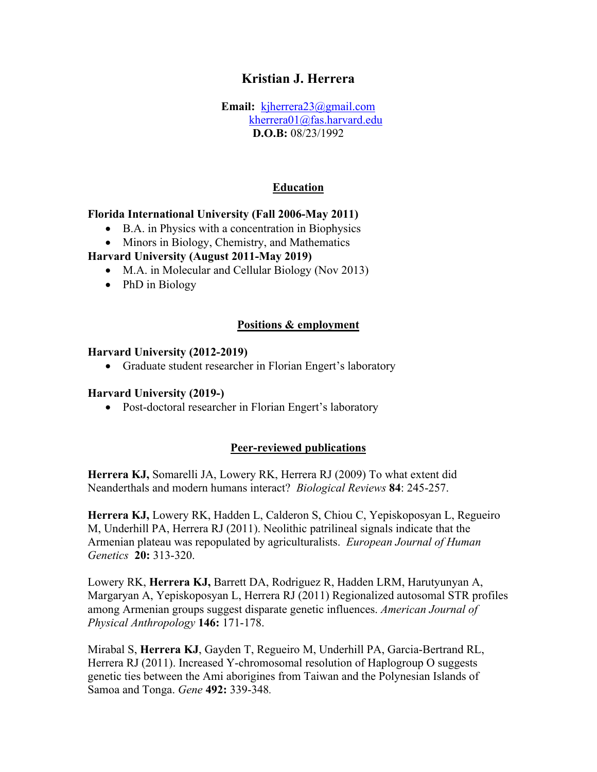# **Kristian J. Herrera**

**Email:** [kjherrera23@gmail.com](mailto:kjherrera23@gmail.com) kherrera01@fas.harvard.edu **D.O.B:** 08/23/1992

#### **Education**

#### **Florida International University (Fall 2006-May 2011)**

- B.A. in Physics with a concentration in Biophysics
- Minors in Biology, Chemistry, and Mathematics

#### **Harvard University (August 2011-May 2019)**

- M.A. in Molecular and Cellular Biology (Nov 2013)
- PhD in Biology

#### **Positions & employment**

#### **Harvard University (2012-2019)**

• Graduate student researcher in Florian Engert's laboratory

#### **Harvard University (2019-)**

• Post-doctoral researcher in Florian Engert's laboratory

#### **Peer-reviewed publications**

**Herrera KJ,** Somarelli JA, Lowery RK, Herrera RJ (2009) To what extent did Neanderthals and modern humans interact? *Biological Reviews* **84**: 245-257.

**Herrera KJ,** Lowery RK, Hadden L, Calderon S, Chiou C, Yepiskoposyan L, Regueiro M, Underhill PA, Herrera RJ (2011). Neolithic patrilineal signals indicate that the Armenian plateau was repopulated by agriculturalists. *European Journal of Human Genetics* **20:** 313-320.

Lowery RK, **Herrera KJ,** Barrett DA, Rodriguez R, Hadden LRM, Harutyunyan A, Margaryan A, Yepiskoposyan L, Herrera RJ (2011) Regionalized autosomal STR profiles among Armenian groups suggest disparate genetic influences. *American Journal of Physical Anthropology* **146:** 171-178.

Mirabal S, **Herrera KJ**, Gayden T, Regueiro M, Underhill PA, Garcia-Bertrand RL, Herrera RJ (2011). Increased Y-chromosomal resolution of Haplogroup O suggests genetic ties between the Ami aborigines from Taiwan and the Polynesian Islands of Samoa and Tonga. *Gene* **492:** 339-348*.*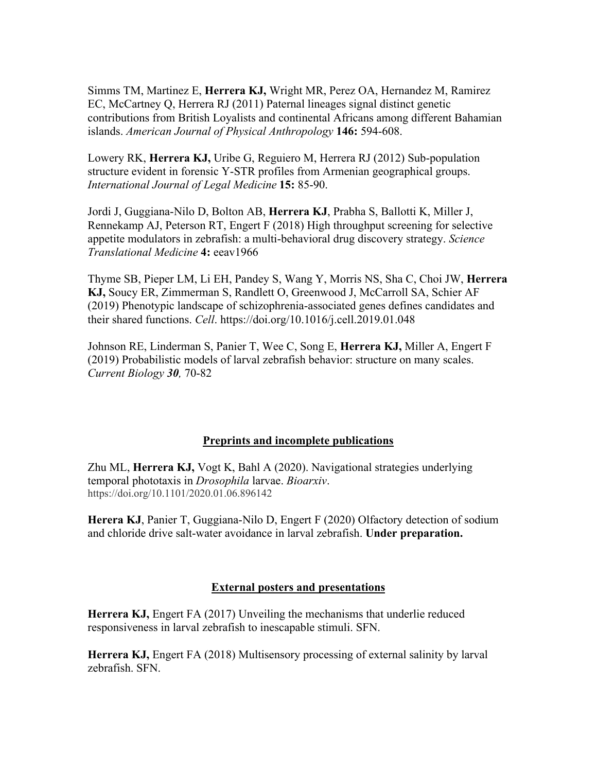Simms TM, Martinez E, **Herrera KJ,** Wright MR, Perez OA, Hernandez M, Ramirez EC, McCartney Q, Herrera RJ (2011) Paternal lineages signal distinct genetic contributions from British Loyalists and continental Africans among different Bahamian islands. *American Journal of Physical Anthropology* **146:** 594-608.

Lowery RK, **Herrera KJ,** Uribe G, Reguiero M, Herrera RJ (2012) Sub-population structure evident in forensic Y-STR profiles from Armenian geographical groups. *International Journal of Legal Medicine* **15:** 85-90.

Jordi J, Guggiana-Nilo D, Bolton AB, **Herrera KJ**, Prabha S, Ballotti K, Miller J, Rennekamp AJ, Peterson RT, Engert F (2018) High throughput screening for selective appetite modulators in zebrafish: a multi-behavioral drug discovery strategy. *Science Translational Medicine* **4:** eeav1966

Thyme SB, Pieper LM, Li EH, Pandey S, Wang Y, Morris NS, Sha C, Choi JW, **Herrera KJ,** Soucy ER, Zimmerman S, Randlett O, Greenwood J, McCarroll SA, Schier AF (2019) Phenotypic landscape of schizophrenia-associated genes defines candidates and their shared functions. *Cell*. https://doi.org/10.1016/j.cell.2019.01.048

Johnson RE, Linderman S, Panier T, Wee C, Song E, **Herrera KJ,** Miller A, Engert F (2019) Probabilistic models of larval zebrafish behavior: structure on many scales. *Current Biology 30,* 70-82

## **Preprints and incomplete publications**

Zhu ML, **Herrera KJ,** Vogt K, Bahl A (2020). Navigational strategies underlying temporal phototaxis in *Drosophila* larvae. *Bioarxiv*. https://doi.org/10.1101/2020.01.06.896142

**Herera KJ**, Panier T, Guggiana-Nilo D, Engert F (2020) Olfactory detection of sodium and chloride drive salt-water avoidance in larval zebrafish. **Under preparation.** 

## **External posters and presentations**

**Herrera KJ, Engert FA (2017) Unveiling the mechanisms that underlie reduced** responsiveness in larval zebrafish to inescapable stimuli. SFN.

**Herrera KJ,** Engert FA (2018) Multisensory processing of external salinity by larval zebrafish. SFN.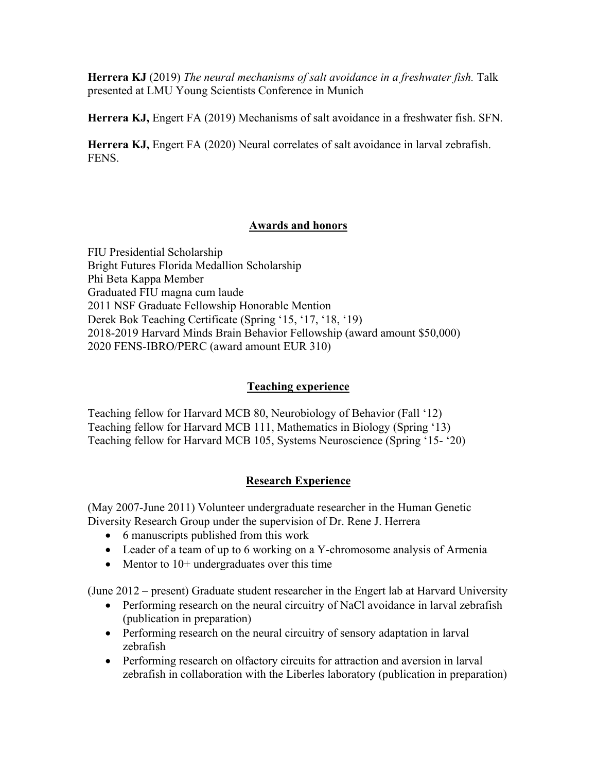**Herrera KJ** (2019) *The neural mechanisms of salt avoidance in a freshwater fish.* Talk presented at LMU Young Scientists Conference in Munich

**Herrera KJ,** Engert FA (2019) Mechanisms of salt avoidance in a freshwater fish. SFN.

**Herrera KJ,** Engert FA (2020) Neural correlates of salt avoidance in larval zebrafish. FENS.

## **Awards and honors**

FIU Presidential Scholarship Bright Futures Florida Medallion Scholarship Phi Beta Kappa Member Graduated FIU magna cum laude 2011 NSF Graduate Fellowship Honorable Mention Derek Bok Teaching Certificate (Spring '15, '17, '18, '19) 2018-2019 Harvard Minds Brain Behavior Fellowship (award amount \$50,000) 2020 FENS-IBRO/PERC (award amount EUR 310)

## **Teaching experience**

Teaching fellow for Harvard MCB 80, Neurobiology of Behavior (Fall '12) Teaching fellow for Harvard MCB 111, Mathematics in Biology (Spring '13) Teaching fellow for Harvard MCB 105, Systems Neuroscience (Spring '15- '20)

# **Research Experience**

(May 2007-June 2011) Volunteer undergraduate researcher in the Human Genetic Diversity Research Group under the supervision of Dr. Rene J. Herrera

- 6 manuscripts published from this work
- Leader of a team of up to 6 working on a Y-chromosome analysis of Armenia
- Mentor to 10+ undergraduates over this time

(June 2012 – present) Graduate student researcher in the Engert lab at Harvard University

- Performing research on the neural circuitry of NaCl avoidance in larval zebrafish (publication in preparation)
- Performing research on the neural circuitry of sensory adaptation in larval zebrafish
- Performing research on olfactory circuits for attraction and aversion in larval zebrafish in collaboration with the Liberles laboratory (publication in preparation)